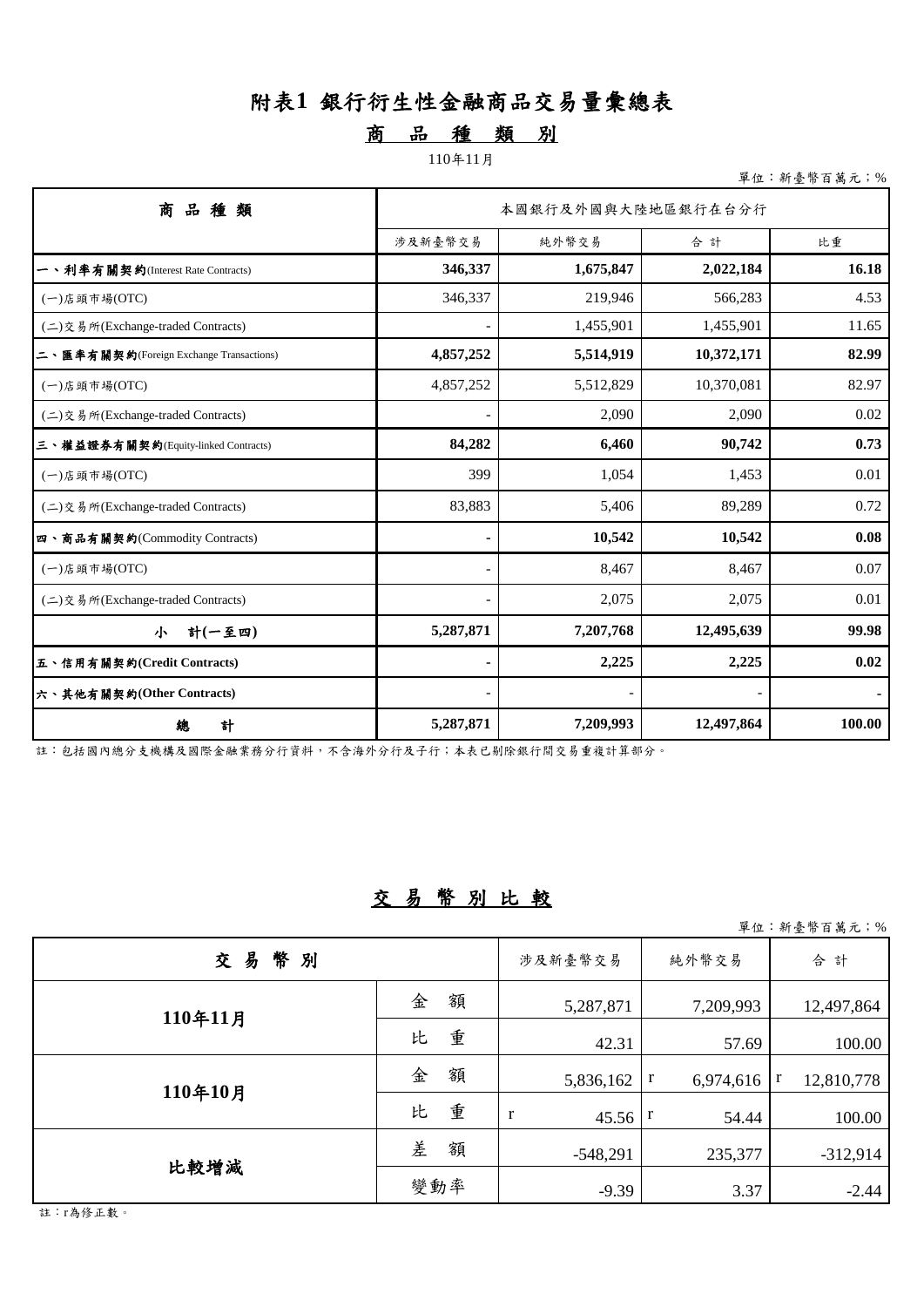# 附表**1** 銀行衍生性金融商品交易量彙總表

## 商品 種 類 別

#### 110年11月

單位:新臺幣百萬元;%

| 品<br>商<br>種類                                | 本國銀行及外國與大陸地區銀行在台分行 |           |            |        |  |  |  |
|---------------------------------------------|--------------------|-----------|------------|--------|--|--|--|
|                                             | 涉及新臺幣交易            | 純外幣交易     | 合計         | 比重     |  |  |  |
| 一、利率有關契約(Interest Rate Contracts)           | 346,337            | 1,675,847 | 2,022,184  | 16.18  |  |  |  |
| $(-)$ 店頭市場 $(OTC)$                          | 346,337            | 219,946   | 566,283    | 4.53   |  |  |  |
| (二) 交易 所(Exchange-traded Contracts)         |                    | 1,455,901 | 1,455,901  | 11.65  |  |  |  |
| 匯率有關契約(Foreign Exchange Transactions)<br>ニヽ | 4,857,252          | 5,514,919 | 10,372,171 | 82.99  |  |  |  |
| (一)店頭市場(OTC)                                | 4,857,252          | 5,512,829 | 10,370,081 | 82.97  |  |  |  |
| (二)交易所(Exchange-traded Contracts)           |                    | 2,090     | 2,090      | 0.02   |  |  |  |
| 三、權益證券有關契約(Equity-linked Contracts)         | 84,282             | 6,460     | 90,742     | 0.73   |  |  |  |
| $(-)$ 店頭市場 $(OTC)$                          | 399                | 1,054     | 1,453      | 0.01   |  |  |  |
| (二)交易所(Exchange-traded Contracts)           | 83,883             | 5,406     | 89,289     | 0.72   |  |  |  |
| 四、商品有關契約(Commodity Contracts)               |                    | 10,542    | 10,542     | 0.08   |  |  |  |
| $(-)$ 店頭市場 $(OTC)$                          |                    | 8,467     | 8,467      | 0.07   |  |  |  |
| (二) 交易所(Exchange-traded Contracts)          |                    | 2,075     | 2,075      | 0.01   |  |  |  |
| 計(一至四)<br>小                                 | 5,287,871          | 7,207,768 | 12,495,639 | 99.98  |  |  |  |
| 五、信用有關契約(Credit Contracts)                  |                    | 2,225     | 2,225      | 0.02   |  |  |  |
| 六、其他有關契約(Other Contracts)                   |                    |           |            |        |  |  |  |
| 總<br>計                                      | 5,287,871          | 7,209,993 | 12,497,864 | 100.00 |  |  |  |

註:包括國內總分支機構及國際金融業務分行資料,不含海外分行及子行;本表已剔除銀行間交易重複計算部分。

### 交易幣別比較

單位:新臺幣百萬元;%

|              |        |            |                | 千一 " " 全 型 口 内 八 , 八 |
|--------------|--------|------------|----------------|----------------------|
| 幣<br>交易<br>別 |        | 涉及新臺幣交易    | 純外幣交易          | 合計                   |
| 110年11月      | 金<br>額 | 5,287,871  | 7,209,993      | 12,497,864           |
|              | 重<br>比 | 42.31      | 57.69          | 100.00               |
| 110年10月      | 額<br>金 | 5,836,162  | r<br>6,974,616 | 12,810,778           |
|              | 重<br>比 | r<br>45.56 | 54.44          | 100.00               |
|              | 差<br>額 | $-548,291$ | 235,377        | $-312,914$           |
| 比較增減         | 變動率    | $-9.39$    | 3.37           | $-2.44$              |

註:r為修正數。